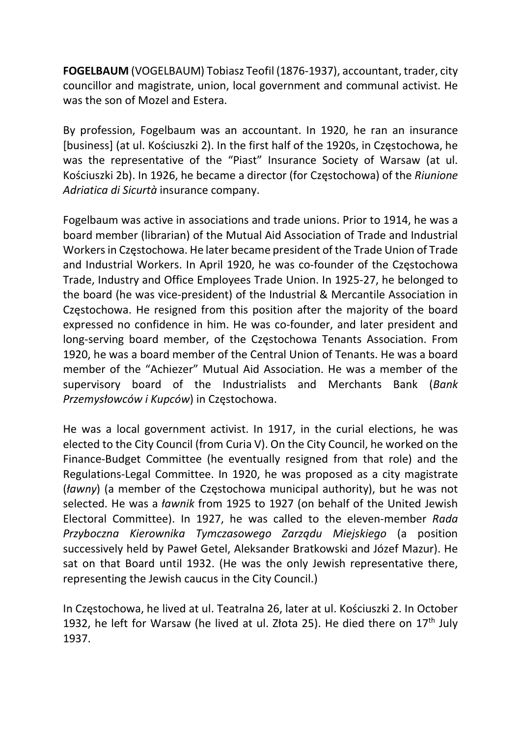FOGELBAUM (VOGELBAUM) Tobiasz Teofil (1876-1937), accountant, trader, city councillor and magistrate, union, local government and communal activist. He was the son of Mozel and Estera.

By profession, Fogelbaum was an accountant. In 1920, he ran an insurance [business] (at ul. Kościuszki 2). In the first half of the 1920s, in Częstochowa, he was the representative of the "Piast" Insurance Society of Warsaw (at ul. Kościuszki 2b). In 1926, he became a director (for Częstochowa) of the Riunione Adriatica di Sicurtà insurance company.

Fogelbaum was active in associations and trade unions. Prior to 1914, he was a board member (librarian) of the Mutual Aid Association of Trade and Industrial Workers in Częstochowa. He later became president of the Trade Union of Trade and Industrial Workers. In April 1920, he was co-founder of the Częstochowa Trade, Industry and Office Employees Trade Union. In 1925-27, he belonged to the board (he was vice-president) of the Industrial & Mercantile Association in Częstochowa. He resigned from this position after the majority of the board expressed no confidence in him. He was co-founder, and later president and long-serving board member, of the Częstochowa Tenants Association. From 1920, he was a board member of the Central Union of Tenants. He was a board member of the "Achiezer" Mutual Aid Association. He was a member of the supervisory board of the Industrialists and Merchants Bank (Bank Przemysłowców i Kupców) in Częstochowa.

He was a local government activist. In 1917, in the curial elections, he was elected to the City Council (from Curia V). On the City Council, he worked on the Finance-Budget Committee (he eventually resigned from that role) and the Regulations-Legal Committee. In 1920, he was proposed as a city magistrate (ławny) (a member of the Częstochowa municipal authority), but he was not selected. He was a *ławnik* from 1925 to 1927 (on behalf of the United Jewish Electoral Committee). In 1927, he was called to the eleven-member Rada Przyboczna Kierownika Tymczasowego Zarządu Miejskiego (a position successively held by Paweł Getel, Aleksander Bratkowski and Józef Mazur). He sat on that Board until 1932. (He was the only Jewish representative there, representing the Jewish caucus in the City Council.)

In Częstochowa, he lived at ul. Teatralna 26, later at ul. Kościuszki 2. In October 1932, he left for Warsaw (he lived at ul. Złota 25). He died there on  $17<sup>th</sup>$  July 1937.